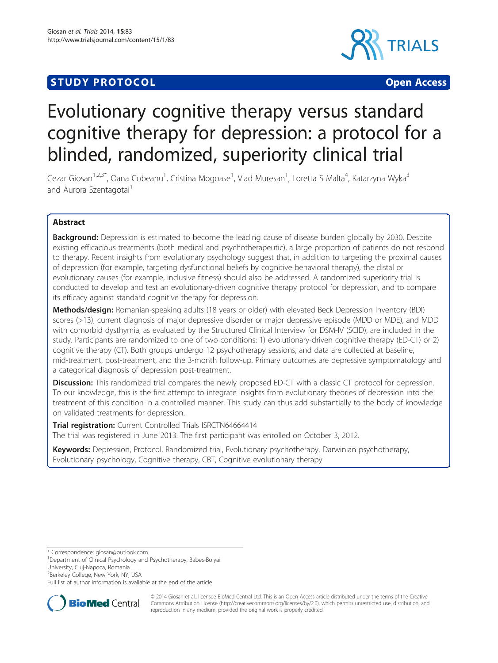# **STUDY PROTOCOL CONSUMING THE CONSUMING OPEN ACCESS**



# Evolutionary cognitive therapy versus standard cognitive therapy for depression: a protocol for a blinded, randomized, superiority clinical trial

Cezar Giosan<sup>1,2,3\*</sup>, Oana Cobeanu<sup>1</sup>, Cristina Mogoase<sup>1</sup>, Vlad Muresan<sup>1</sup>, Loretta S Malta<sup>4</sup>, Katarzyna Wyka<sup>3</sup> and Aurora Szentagotai<sup>1</sup>

## Abstract

**Background:** Depression is estimated to become the leading cause of disease burden globally by 2030. Despite existing efficacious treatments (both medical and psychotherapeutic), a large proportion of patients do not respond to therapy. Recent insights from evolutionary psychology suggest that, in addition to targeting the proximal causes of depression (for example, targeting dysfunctional beliefs by cognitive behavioral therapy), the distal or evolutionary causes (for example, inclusive fitness) should also be addressed. A randomized superiority trial is conducted to develop and test an evolutionary-driven cognitive therapy protocol for depression, and to compare its efficacy against standard cognitive therapy for depression.

Methods/design: Romanian-speaking adults (18 years or older) with elevated Beck Depression Inventory (BDI) scores (>13), current diagnosis of major depressive disorder or major depressive episode (MDD or MDE), and MDD with comorbid dysthymia, as evaluated by the Structured Clinical Interview for DSM-IV (SCID), are included in the study. Participants are randomized to one of two conditions: 1) evolutionary-driven cognitive therapy (ED-CT) or 2) cognitive therapy (CT). Both groups undergo 12 psychotherapy sessions, and data are collected at baseline, mid-treatment, post-treatment, and the 3-month follow-up. Primary outcomes are depressive symptomatology and a categorical diagnosis of depression post-treatment.

**Discussion:** This randomized trial compares the newly proposed ED-CT with a classic CT protocol for depression. To our knowledge, this is the first attempt to integrate insights from evolutionary theories of depression into the treatment of this condition in a controlled manner. This study can thus add substantially to the body of knowledge on validated treatments for depression.

Trial registration: Current Controlled Trials [ISRCTN64664414](http://www.controlled-trials.com/ISRCTN64664414) The trial was registered in June 2013. The first participant was enrolled on October 3, 2012.

Keywords: Depression, Protocol, Randomized trial, Evolutionary psychotherapy, Darwinian psychotherapy, Evolutionary psychology, Cognitive therapy, CBT, Cognitive evolutionary therapy

\* Correspondence: [giosan@outlook.com](mailto:giosan@outlook.com) <sup>1</sup>

Department of Clinical Psychology and Psychotherapy, Babes-Bolyai

University, Cluj-Napoca, Romania

<sup>2</sup>Berkeley College, New York, NY, USA

Full list of author information is available at the end of the article



© 2014 Giosan et al.; licensee BioMed Central Ltd. This is an Open Access article distributed under the terms of the Creative Commons Attribution License [\(http://creativecommons.org/licenses/by/2.0\)](http://creativecommons.org/licenses/by/2.0), which permits unrestricted use, distribution, and reproduction in any medium, provided the original work is properly credited.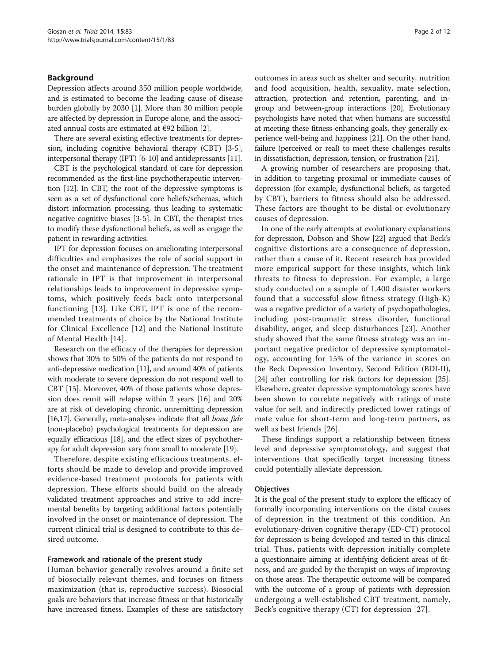## Background

Depression affects around 350 million people worldwide, and is estimated to become the leading cause of disease burden globally by 2030 [\[1](#page-9-0)]. More than 30 million people are affected by depression in Europe alone, and the associated annual costs are estimated at €92 billion [\[2](#page-9-0)].

There are several existing effective treatments for depression, including cognitive behavioral therapy (CBT) [[3](#page-9-0)-[5](#page-9-0)], interpersonal therapy (IPT) [\[6-10\]](#page-9-0) and antidepressants [\[11](#page-9-0)].

CBT is the psychological standard of care for depression recommended as the first-line psychotherapeutic intervention [\[12](#page-9-0)]. In CBT, the root of the depressive symptoms is seen as a set of dysfunctional core beliefs/schemas, which distort information processing, thus leading to systematic negative cognitive biases [\[3](#page-9-0)-[5](#page-9-0)]. In CBT, the therapist tries to modify these dysfunctional beliefs, as well as engage the patient in rewarding activities.

IPT for depression focuses on ameliorating interpersonal difficulties and emphasizes the role of social support in the onset and maintenance of depression. The treatment rationale in IPT is that improvement in interpersonal relationships leads to improvement in depressive symptoms, which positively feeds back onto interpersonal functioning [[13](#page-9-0)]. Like CBT, IPT is one of the recommended treatments of choice by the National Institute for Clinical Excellence [[12\]](#page-9-0) and the National Institute of Mental Health [[14](#page-9-0)].

Research on the efficacy of the therapies for depression shows that 30% to 50% of the patients do not respond to anti-depressive medication [\[11\]](#page-9-0), and around 40% of patients with moderate to severe depression do not respond well to CBT [[15](#page-9-0)]. Moreover, 40% of those patients whose depression does remit will relapse within 2 years [[16\]](#page-9-0) and 20% are at risk of developing chronic, unremitting depression [[16,17\]](#page-9-0). Generally, meta-analyses indicate that all bona fide (non-placebo) psychological treatments for depression are equally efficacious [\[18](#page-9-0)], and the effect sizes of psychotherapy for adult depression vary from small to moderate [\[19\]](#page-9-0).

Therefore, despite existing efficacious treatments, efforts should be made to develop and provide improved evidence-based treatment protocols for patients with depression. These efforts should build on the already validated treatment approaches and strive to add incremental benefits by targeting additional factors potentially involved in the onset or maintenance of depression. The current clinical trial is designed to contribute to this desired outcome.

#### Framework and rationale of the present study

Human behavior generally revolves around a finite set of biosocially relevant themes, and focuses on fitness maximization (that is, reproductive success). Biosocial goals are behaviors that increase fitness or that historically have increased fitness. Examples of these are satisfactory

outcomes in areas such as shelter and security, nutrition and food acquisition, health, sexuality, mate selection, attraction, protection and retention, parenting, and ingroup and between-group interactions [[20](#page-10-0)]. Evolutionary psychologists have noted that when humans are successful at meeting these fitness-enhancing goals, they generally experience well-being and happiness [\[21\]](#page-10-0). On the other hand, failure (perceived or real) to meet these challenges results in dissatisfaction, depression, tension, or frustration [\[21](#page-10-0)].

A growing number of researchers are proposing that, in addition to targeting proximal or immediate causes of depression (for example, dysfunctional beliefs, as targeted by CBT), barriers to fitness should also be addressed. These factors are thought to be distal or evolutionary causes of depression.

In one of the early attempts at evolutionary explanations for depression, Dobson and Show [[22](#page-10-0)] argued that Beck's cognitive distortions are a consequence of depression, rather than a cause of it. Recent research has provided more empirical support for these insights, which link threats to fitness to depression. For example, a large study conducted on a sample of 1,400 disaster workers found that a successful slow fitness strategy (High-K) was a negative predictor of a variety of psychopathologies, including post-traumatic stress disorder, functional disability, anger, and sleep disturbances [[23\]](#page-10-0). Another study showed that the same fitness strategy was an important negative predictor of depressive symptomatology, accounting for 15% of the variance in scores on the Beck Depression Inventory, Second Edition (BDI-II), [[24](#page-10-0)] after controlling for risk factors for depression [[25](#page-10-0)]. Elsewhere, greater depressive symptomatology scores have been shown to correlate negatively with ratings of mate value for self, and indirectly predicted lower ratings of mate value for short-term and long-term partners, as well as best friends [[26](#page-10-0)].

These findings support a relationship between fitness level and depressive symptomatology, and suggest that interventions that specifically target increasing fitness could potentially alleviate depression.

## **Objectives**

It is the goal of the present study to explore the efficacy of formally incorporating interventions on the distal causes of depression in the treatment of this condition. An evolutionary-driven cognitive therapy (ED-CT) protocol for depression is being developed and tested in this clinical trial. Thus, patients with depression initially complete a questionnaire aiming at identifying deficient areas of fitness, and are guided by the therapist on ways of improving on those areas. The therapeutic outcome will be compared with the outcome of a group of patients with depression undergoing a well-established CBT treatment, namely, Beck's cognitive therapy (CT) for depression [[27\]](#page-10-0).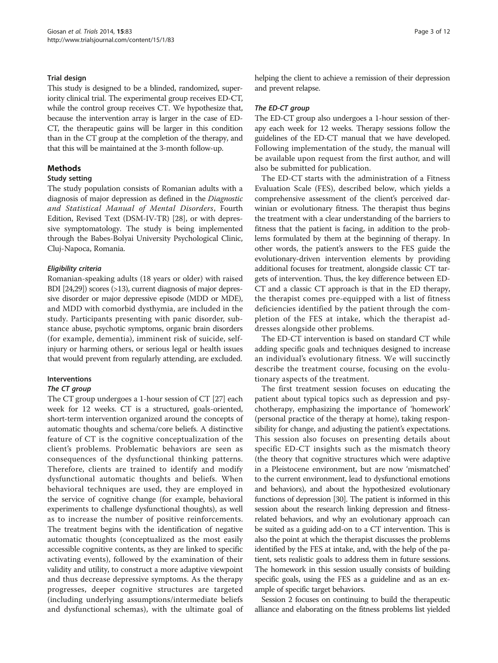## Trial design

This study is designed to be a blinded, randomized, superiority clinical trial. The experimental group receives ED-CT, while the control group receives CT. We hypothesize that, because the intervention array is larger in the case of ED-CT, the therapeutic gains will be larger in this condition than in the CT group at the completion of the therapy, and that this will be maintained at the 3-month follow-up.

## Methods

## Study setting

The study population consists of Romanian adults with a diagnosis of major depression as defined in the Diagnostic and Statistical Manual of Mental Disorders, Fourth Edition, Revised Text (DSM-IV-TR) [\[28\]](#page-10-0), or with depressive symptomatology. The study is being implemented through the Babes-Bolyai University Psychological Clinic, Cluj-Napoca, Romania.

## Eligibility criteria

Romanian-speaking adults (18 years or older) with raised BDI [[24,29](#page-10-0)]) scores (>13), current diagnosis of major depressive disorder or major depressive episode (MDD or MDE), and MDD with comorbid dysthymia, are included in the study. Participants presenting with panic disorder, substance abuse, psychotic symptoms, organic brain disorders (for example, dementia), imminent risk of suicide, selfinjury or harming others, or serious legal or health issues that would prevent from regularly attending, are excluded.

## Interventions

#### The CT group

The CT group undergoes a 1-hour session of CT [\[27\]](#page-10-0) each week for 12 weeks. CT is a structured, goals-oriented, short-term intervention organized around the concepts of automatic thoughts and schema/core beliefs. A distinctive feature of CT is the cognitive conceptualization of the client's problems. Problematic behaviors are seen as consequences of the dysfunctional thinking patterns. Therefore, clients are trained to identify and modify dysfunctional automatic thoughts and beliefs. When behavioral techniques are used, they are employed in the service of cognitive change (for example, behavioral experiments to challenge dysfunctional thoughts), as well as to increase the number of positive reinforcements. The treatment begins with the identification of negative automatic thoughts (conceptualized as the most easily accessible cognitive contents, as they are linked to specific activating events), followed by the examination of their validity and utility, to construct a more adaptive viewpoint and thus decrease depressive symptoms. As the therapy progresses, deeper cognitive structures are targeted (including underlying assumptions/intermediate beliefs and dysfunctional schemas), with the ultimate goal of helping the client to achieve a remission of their depression and prevent relapse.

## The ED-CT group

The ED-CT group also undergoes a 1-hour session of therapy each week for 12 weeks. Therapy sessions follow the guidelines of the ED-CT manual that we have developed. Following implementation of the study, the manual will be available upon request from the first author, and will also be submitted for publication.

The ED-CT starts with the administration of a Fitness Evaluation Scale (FES), described below, which yields a comprehensive assessment of the client's perceived darwinian or evolutionary fitness. The therapist thus begins the treatment with a clear understanding of the barriers to fitness that the patient is facing, in addition to the problems formulated by them at the beginning of therapy. In other words, the patient's answers to the FES guide the evolutionary-driven intervention elements by providing additional focuses for treatment, alongside classic CT targets of intervention. Thus, the key difference between ED-CT and a classic CT approach is that in the ED therapy, the therapist comes pre-equipped with a list of fitness deficiencies identified by the patient through the completion of the FES at intake, which the therapist addresses alongside other problems.

The ED-CT intervention is based on standard CT while adding specific goals and techniques designed to increase an individual's evolutionary fitness. We will succinctly describe the treatment course, focusing on the evolutionary aspects of the treatment.

The first treatment session focuses on educating the patient about typical topics such as depression and psychotherapy, emphasizing the importance of 'homework' (personal practice of the therapy at home), taking responsibility for change, and adjusting the patient's expectations. This session also focuses on presenting details about specific ED-CT insights such as the mismatch theory (the theory that cognitive structures which were adaptive in a Pleistocene environment, but are now 'mismatched' to the current environment, lead to dysfunctional emotions and behaviors), and about the hypothesized evolutionary functions of depression [\[30\]](#page-10-0). The patient is informed in this session about the research linking depression and fitnessrelated behaviors, and why an evolutionary approach can be suited as a guiding add-on to a CT intervention. This is also the point at which the therapist discusses the problems identified by the FES at intake, and, with the help of the patient, sets realistic goals to address them in future sessions. The homework in this session usually consists of building specific goals, using the FES as a guideline and as an example of specific target behaviors.

Session 2 focuses on continuing to build the therapeutic alliance and elaborating on the fitness problems list yielded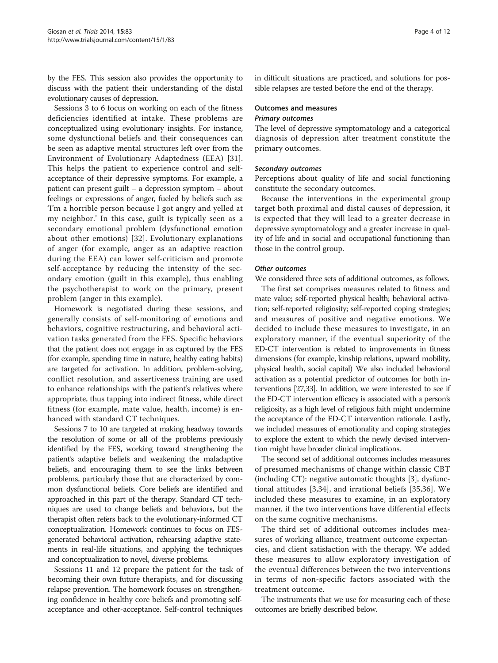by the FES. This session also provides the opportunity to discuss with the patient their understanding of the distal evolutionary causes of depression.

Sessions 3 to 6 focus on working on each of the fitness deficiencies identified at intake. These problems are conceptualized using evolutionary insights. For instance, some dysfunctional beliefs and their consequences can be seen as adaptive mental structures left over from the Environment of Evolutionary Adaptedness (EEA) [\[31](#page-10-0)]. This helps the patient to experience control and selfacceptance of their depressive symptoms. For example, a patient can present guilt – a depression symptom – about feelings or expressions of anger, fueled by beliefs such as: 'I'm a horrible person because I got angry and yelled at my neighbor.' In this case, guilt is typically seen as a secondary emotional problem (dysfunctional emotion about other emotions) [\[32](#page-10-0)]. Evolutionary explanations of anger (for example, anger as an adaptive reaction during the EEA) can lower self-criticism and promote self-acceptance by reducing the intensity of the secondary emotion (guilt in this example), thus enabling the psychotherapist to work on the primary, present problem (anger in this example).

Homework is negotiated during these sessions, and generally consists of self-monitoring of emotions and behaviors, cognitive restructuring, and behavioral activation tasks generated from the FES. Specific behaviors that the patient does not engage in as captured by the FES (for example, spending time in nature, healthy eating habits) are targeted for activation. In addition, problem-solving, conflict resolution, and assertiveness training are used to enhance relationships with the patient's relatives where appropriate, thus tapping into indirect fitness, while direct fitness (for example, mate value, health, income) is enhanced with standard CT techniques.

Sessions 7 to 10 are targeted at making headway towards the resolution of some or all of the problems previously identified by the FES, working toward strengthening the patient's adaptive beliefs and weakening the maladaptive beliefs, and encouraging them to see the links between problems, particularly those that are characterized by common dysfunctional beliefs. Core beliefs are identified and approached in this part of the therapy. Standard CT techniques are used to change beliefs and behaviors, but the therapist often refers back to the evolutionary-informed CT conceptualization. Homework continues to focus on FESgenerated behavioral activation, rehearsing adaptive statements in real-life situations, and applying the techniques and conceptualization to novel, diverse problems.

Sessions 11 and 12 prepare the patient for the task of becoming their own future therapists, and for discussing relapse prevention. The homework focuses on strengthening confidence in healthy core beliefs and promoting selfacceptance and other-acceptance. Self-control techniques in difficult situations are practiced, and solutions for possible relapses are tested before the end of the therapy.

# Outcomes and measures

# Primary outcomes

The level of depressive symptomatology and a categorical diagnosis of depression after treatment constitute the primary outcomes.

## Secondary outcomes

Perceptions about quality of life and social functioning constitute the secondary outcomes.

Because the interventions in the experimental group target both proximal and distal causes of depression, it is expected that they will lead to a greater decrease in depressive symptomatology and a greater increase in quality of life and in social and occupational functioning than those in the control group.

## Other outcomes

We considered three sets of additional outcomes, as follows.

The first set comprises measures related to fitness and mate value; self-reported physical health; behavioral activation; self-reported religiosity; self-reported coping strategies; and measures of positive and negative emotions. We decided to include these measures to investigate, in an exploratory manner, if the eventual superiority of the ED-CT intervention is related to improvements in fitness dimensions (for example, kinship relations, upward mobility, physical health, social capital) We also included behavioral activation as a potential predictor of outcomes for both interventions [\[27,33\]](#page-10-0). In addition, we were interested to see if the ED-CT intervention efficacy is associated with a person's religiosity, as a high level of religious faith might undermine the acceptance of the ED-CT intervention rationale. Lastly, we included measures of emotionality and coping strategies to explore the extent to which the newly devised intervention might have broader clinical implications.

The second set of additional outcomes includes measures of presumed mechanisms of change within classic CBT (including CT): negative automatic thoughts [\[3\]](#page-9-0), dysfunctional attitudes [\[3](#page-9-0),[34\]](#page-10-0), and irrational beliefs [[35,36](#page-10-0)]. We included these measures to examine, in an exploratory manner, if the two interventions have differential effects on the same cognitive mechanisms.

The third set of additional outcomes includes measures of working alliance, treatment outcome expectancies, and client satisfaction with the therapy. We added these measures to allow exploratory investigation of the eventual differences between the two interventions in terms of non-specific factors associated with the treatment outcome.

The instruments that we use for measuring each of these outcomes are briefly described below.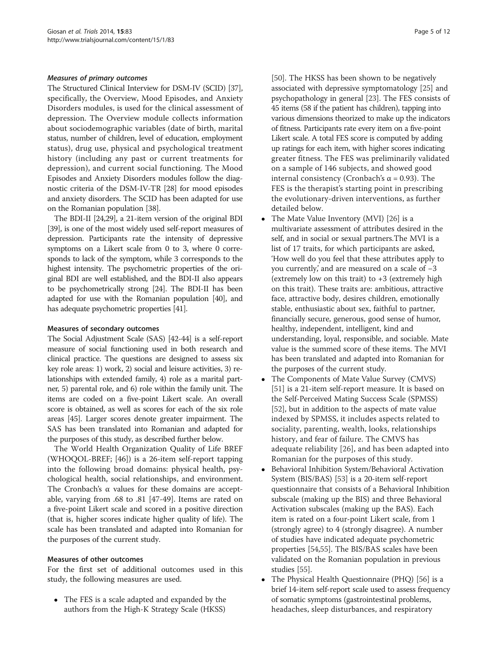## Measures of primary outcomes

The Structured Clinical Interview for DSM-IV (SCID) [\[37](#page-10-0)], specifically, the Overview, Mood Episodes, and Anxiety Disorders modules, is used for the clinical assessment of depression. The Overview module collects information about sociodemographic variables (date of birth, marital status, number of children, level of education, employment status), drug use, physical and psychological treatment history (including any past or current treatments for depression), and current social functioning. The Mood Episodes and Anxiety Disorders modules follow the diagnostic criteria of the DSM-IV-TR [\[28\]](#page-10-0) for mood episodes and anxiety disorders. The SCID has been adapted for use on the Romanian population [\[38\]](#page-10-0).

The BDI-II [[24,29\]](#page-10-0), a 21-item version of the original BDI [[39](#page-10-0)], is one of the most widely used self-report measures of depression. Participants rate the intensity of depressive symptoms on a Likert scale from 0 to 3, where 0 corresponds to lack of the symptom, while 3 corresponds to the highest intensity. The psychometric properties of the original BDI are well established, and the BDI-II also appears to be psychometrically strong [\[24\]](#page-10-0). The BDI-II has been adapted for use with the Romanian population [\[40\]](#page-10-0), and has adequate psychometric properties [\[41](#page-10-0)].

## Measures of secondary outcomes

The Social Adjustment Scale (SAS) [\[42-44](#page-10-0)] is a self-report measure of social functioning used in both research and clinical practice. The questions are designed to assess six key role areas: 1) work, 2) social and leisure activities, 3) relationships with extended family, 4) role as a marital partner, 5) parental role, and 6) role within the family unit. The items are coded on a five-point Likert scale. An overall score is obtained, as well as scores for each of the six role areas [[45](#page-10-0)]. Larger scores denote greater impairment. The SAS has been translated into Romanian and adapted for the purposes of this study, as described further below.

The World Health Organization Quality of Life BREF (WHOQOL-BREF; [[46\]](#page-10-0)) is a 26-item self-report tapping into the following broad domains: physical health, psychological health, social relationships, and environment. The Cronbach's α values for these domains are acceptable, varying from .68 to .81 [\[47](#page-10-0)-[49\]](#page-10-0). Items are rated on a five-point Likert scale and scored in a positive direction (that is, higher scores indicate higher quality of life). The scale has been translated and adapted into Romanian for the purposes of the current study.

#### Measures of other outcomes

For the first set of additional outcomes used in this study, the following measures are used.

 The FES is a scale adapted and expanded by the authors from the High-K Strategy Scale (HKSS)

[[50](#page-10-0)]. The HKSS has been shown to be negatively associated with depressive symptomatology [[25](#page-10-0)] and psychopathology in general [[23](#page-10-0)]. The FES consists of 45 items (58 if the patient has children), tapping into various dimensions theorized to make up the indicators of fitness. Participants rate every item on a five-point Likert scale. A total FES score is computed by adding up ratings for each item, with higher scores indicating greater fitness. The FES was preliminarily validated on a sample of 146 subjects, and showed good internal consistency (Cronbach's α = 0.93). The FES is the therapist's starting point in prescribing the evolutionary-driven interventions, as further detailed below.

- The Mate Value Inventory (MVI) [[26](#page-10-0)] is a multivariate assessment of attributes desired in the self, and in social or sexual partners.The MVI is a list of 17 traits, for which participants are asked, 'How well do you feel that these attributes apply to you currently,' and are measured on a scale of −3 (extremely low on this trait) to  $+3$  (extremely high on this trait). These traits are: ambitious, attractive face, attractive body, desires children, emotionally stable, enthusiastic about sex, faithful to partner, financially secure, generous, good sense of humor, healthy, independent, intelligent, kind and understanding, loyal, responsible, and sociable. Mate value is the summed score of these items. The MVI has been translated and adapted into Romanian for the purposes of the current study.
- The Components of Mate Value Survey (CMVS) [[51](#page-10-0)] is a 21-item self-report measure. It is based on the Self-Perceived Mating Success Scale (SPMSS) [[52](#page-10-0)], but in addition to the aspects of mate value indexed by SPMSS, it includes aspects related to sociality, parenting, wealth, looks, relationships history, and fear of failure. The CMVS has adequate reliability [[26\]](#page-10-0), and has been adapted into Romanian for the purposes of this study.
- Behavioral Inhibition System/Behavioral Activation System (BIS/BAS) [[53](#page-10-0)] is a 20-item self-report questionnaire that consists of a Behavioral Inhibition subscale (making up the BIS) and three Behavioral Activation subscales (making up the BAS). Each item is rated on a four-point Likert scale, from 1 (strongly agree) to 4 (strongly disagree). A number of studies have indicated adequate psychometric properties [\[54,55\]](#page-10-0). The BIS/BAS scales have been validated on the Romanian population in previous studies [\[55](#page-10-0)].
- The Physical Health Questionnaire (PHQ) [\[56\]](#page-10-0) is a brief 14-item self-report scale used to assess frequency of somatic symptoms (gastrointestinal problems, headaches, sleep disturbances, and respiratory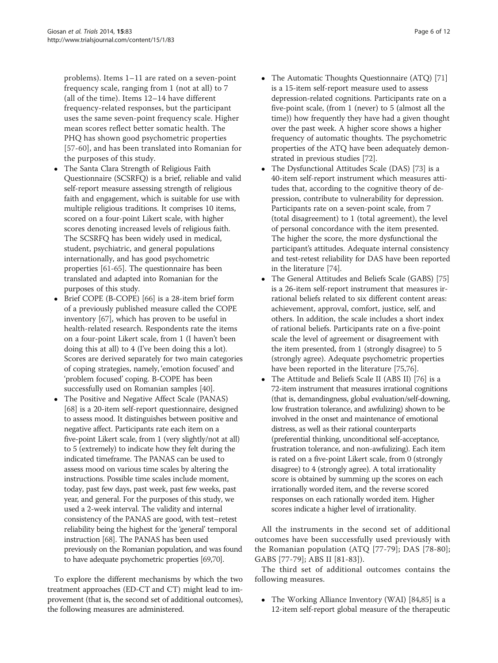problems). Items 1–11 are rated on a seven-point frequency scale, ranging from 1 (not at all) to 7 (all of the time). Items 12–14 have different frequency-related responses, but the participant uses the same seven-point frequency scale. Higher mean scores reflect better somatic health. The PHQ has shown good psychometric properties [[57](#page-10-0)-[60\]](#page-10-0), and has been translated into Romanian for the purposes of this study.

- The Santa Clara Strength of Religious Faith Questionnaire (SCSRFQ) is a brief, reliable and valid self-report measure assessing strength of religious faith and engagement, which is suitable for use with multiple religious traditions. It comprises 10 items, scored on a four-point Likert scale, with higher scores denoting increased levels of religious faith. The SCSRFQ has been widely used in medical, student, psychiatric, and general populations internationally, and has good psychometric properties [\[61-65](#page-10-0)]. The questionnaire has been translated and adapted into Romanian for the purposes of this study.
- Brief COPE (B-COPE) [\[66\]](#page-10-0) is a 28-item brief form of a previously published measure called the COPE inventory [[67\]](#page-10-0), which has proven to be useful in health-related research. Respondents rate the items on a four-point Likert scale, from 1 (I haven't been doing this at all) to 4 (I've been doing this a lot). Scores are derived separately for two main categories of coping strategies, namely, 'emotion focused' and 'problem focused' coping. B-COPE has been successfully used on Romanian samples [\[40\]](#page-10-0).
- The Positive and Negative Affect Scale (PANAS) [[68](#page-10-0)] is a 20-item self-report questionnaire, designed to assess mood. It distinguishes between positive and negative affect. Participants rate each item on a five-point Likert scale, from 1 (very slightly/not at all) to 5 (extremely) to indicate how they felt during the indicated timeframe. The PANAS can be used to assess mood on various time scales by altering the instructions. Possible time scales include moment, today, past few days, past week, past few weeks, past year, and general. For the purposes of this study, we used a 2-week interval. The validity and internal consistency of the PANAS are good, with test–retest reliability being the highest for the 'general' temporal instruction [\[68\]](#page-10-0). The PANAS has been used previously on the Romanian population, and was found to have adequate psychometric properties [\[69,70](#page-10-0)].

To explore the different mechanisms by which the two treatment approaches (ED-CT and CT) might lead to improvement (that is, the second set of additional outcomes), the following measures are administered.

- The Automatic Thoughts Questionnaire (ATQ) [[71\]](#page-10-0) is a 15-item self-report measure used to assess depression-related cognitions. Participants rate on a five-point scale, (from 1 (never) to 5 (almost all the time)) how frequently they have had a given thought over the past week. A higher score shows a higher frequency of automatic thoughts. The psychometric properties of the ATQ have been adequately demonstrated in previous studies [\[72](#page-10-0)].
- The Dysfunctional Attitudes Scale (DAS) [[73](#page-10-0)] is a 40-item self-report instrument which measures attitudes that, according to the cognitive theory of depression, contribute to vulnerability for depression. Participants rate on a seven-point scale, from 7 (total disagreement) to 1 (total agreement), the level of personal concordance with the item presented. The higher the score, the more dysfunctional the participant's attitudes. Adequate internal consistency and test-retest reliability for DAS have been reported in the literature [[74\]](#page-11-0).
- The General Attitudes and Beliefs Scale (GABS) [[75\]](#page-11-0) is a 26-item self-report instrument that measures irrational beliefs related to six different content areas: achievement, approval, comfort, justice, self, and others. In addition, the scale includes a short index of rational beliefs. Participants rate on a five-point scale the level of agreement or disagreement with the item presented, from 1 (strongly disagree) to 5 (strongly agree). Adequate psychometric properties have been reported in the literature [\[75,76\]](#page-11-0).
- The Attitude and Beliefs Scale II (ABS II) [\[76\]](#page-11-0) is a 72-item instrument that measures irrational cognitions (that is, demandingness, global evaluation/self-downing, low frustration tolerance, and awfulizing) shown to be involved in the onset and maintenance of emotional distress, as well as their rational counterparts (preferential thinking, unconditional self-acceptance, frustration tolerance, and non-awfulizing). Each item is rated on a five-point Likert scale, from 0 (strongly disagree) to 4 (strongly agree). A total irrationality score is obtained by summing up the scores on each irrationally worded item, and the reverse scored responses on each rationally worded item. Higher scores indicate a higher level of irrationality.

All the instruments in the second set of additional outcomes have been successfully used previously with the Romanian population (ATQ [[77](#page-11-0)-[79](#page-11-0)]; DAS [[78](#page-11-0)-[80](#page-11-0)]; GABS [[77-79\]](#page-11-0); ABS II [[81](#page-11-0)-[83](#page-11-0)]).

The third set of additional outcomes contains the following measures.

• The Working Alliance Inventory (WAI) [\[84,85](#page-11-0)] is a 12-item self-report global measure of the therapeutic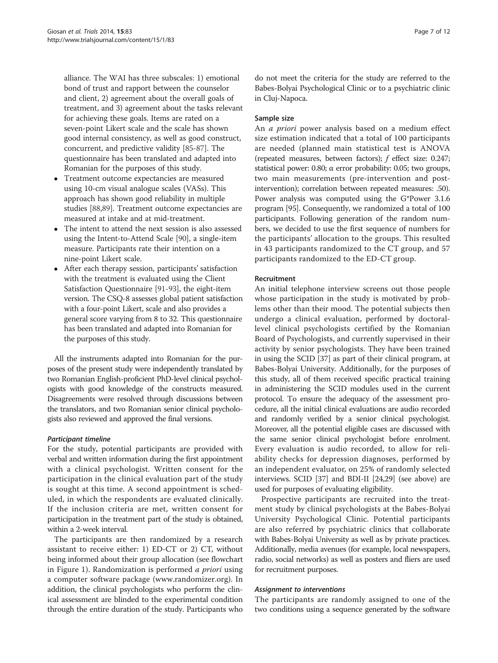alliance. The WAI has three subscales: 1) emotional bond of trust and rapport between the counselor and client, 2) agreement about the overall goals of treatment, and 3) agreement about the tasks relevant for achieving these goals. Items are rated on a seven-point Likert scale and the scale has shown good internal consistency, as well as good construct, concurrent, and predictive validity [[85](#page-11-0)-[87](#page-11-0)]. The questionnaire has been translated and adapted into Romanian for the purposes of this study.

- Treatment outcome expectancies are measured using 10-cm visual analogue scales (VASs). This approach has shown good reliability in multiple studies [\[88,89\]](#page-11-0). Treatment outcome expectancies are measured at intake and at mid-treatment.
- The intent to attend the next session is also assessed using the Intent-to-Attend Scale [\[90](#page-11-0)], a single-item measure. Participants rate their intention on a nine-point Likert scale.
- After each therapy session, participants' satisfaction with the treatment is evaluated using the Client Satisfaction Questionnaire [\[91](#page-11-0)-[93](#page-11-0)], the eight-item version. The CSQ-8 assesses global patient satisfaction with a four-point Likert, scale and also provides a general score varying from 8 to 32. This questionnaire has been translated and adapted into Romanian for the purposes of this study.

All the instruments adapted into Romanian for the purposes of the present study were independently translated by two Romanian English-proficient PhD-level clinical psychologists with good knowledge of the constructs measured. Disagreements were resolved through discussions between the translators, and two Romanian senior clinical psychologists also reviewed and approved the final versions.

## Participant timeline

For the study, potential participants are provided with verbal and written information during the first appointment with a clinical psychologist. Written consent for the participation in the clinical evaluation part of the study is sought at this time. A second appointment is scheduled, in which the respondents are evaluated clinically. If the inclusion criteria are met, written consent for participation in the treatment part of the study is obtained, within a 2-week interval.

The participants are then randomized by a research assistant to receive either: 1) ED-CT or 2) CT, without being informed about their group allocation (see flowchart in Figure [1](#page-7-0)). Randomization is performed *a priori* using a computer software package ([www.randomizer.org\)](http://www.randomizer.org). In addition, the clinical psychologists who perform the clinical assessment are blinded to the experimental condition through the entire duration of the study. Participants who

do not meet the criteria for the study are referred to the Babes-Bolyai Psychological Clinic or to a psychiatric clinic in Cluj-Napoca.

## Sample size

An a priori power analysis based on a medium effect size estimation indicated that a total of 100 participants are needed (planned main statistical test is ANOVA (repeated measures, between factors); f effect size: 0.247; statistical power: 0.80; α error probability: 0.05; two groups, two main measurements (pre-intervention and postintervention); correlation between repeated measures: .50). Power analysis was computed using the G\*Power 3.1.6 program [[95\]](#page-11-0). Consequently, we randomized a total of 100 participants. Following generation of the random numbers, we decided to use the first sequence of numbers for the participants' allocation to the groups. This resulted in 43 participants randomized to the CT group, and 57 participants randomized to the ED-CT group.

#### Recruitment

An initial telephone interview screens out those people whose participation in the study is motivated by problems other than their mood. The potential subjects then undergo a clinical evaluation, performed by doctorallevel clinical psychologists certified by the Romanian Board of Psychologists, and currently supervised in their activity by senior psychologists. They have been trained in using the SCID [[37\]](#page-10-0) as part of their clinical program, at Babes-Bolyai University. Additionally, for the purposes of this study, all of them received specific practical training in administering the SCID modules used in the current protocol. To ensure the adequacy of the assessment procedure, all the initial clinical evaluations are audio recorded and randomly verified by a senior clinical psychologist. Moreover, all the potential eligible cases are discussed with the same senior clinical psychologist before enrolment. Every evaluation is audio recorded, to allow for reliability checks for depression diagnoses, performed by an independent evaluator, on 25% of randomly selected interviews. SCID [\[37\]](#page-10-0) and BDI-II [\[24,29\]](#page-10-0) (see above) are used for purposes of evaluating eligibility.

Prospective participants are recruited into the treatment study by clinical psychologists at the Babes-Bolyai University Psychological Clinic. Potential participants are also referred by psychiatric clinics that collaborate with Babes-Bolyai University as well as by private practices. Additionally, media avenues (for example, local newspapers, radio, social networks) as well as posters and fliers are used for recruitment purposes.

#### Assignment to interventions

The participants are randomly assigned to one of the two conditions using a sequence generated by the software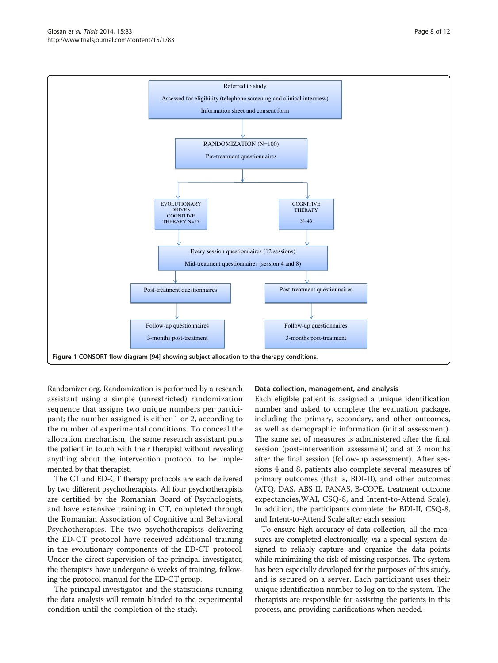<span id="page-7-0"></span>

Randomizer.org. Randomization is performed by a research assistant using a simple (unrestricted) randomization sequence that assigns two unique numbers per participant; the number assigned is either 1 or 2, according to the number of experimental conditions. To conceal the allocation mechanism, the same research assistant puts the patient in touch with their therapist without revealing anything about the intervention protocol to be implemented by that therapist.

The CT and ED-CT therapy protocols are each delivered by two different psychotherapists. All four psychotherapists are certified by the Romanian Board of Psychologists, and have extensive training in CT, completed through the Romanian Association of Cognitive and Behavioral Psychotherapies. The two psychotherapists delivering the ED-CT protocol have received additional training in the evolutionary components of the ED-CT protocol. Under the direct supervision of the principal investigator, the therapists have undergone 6 weeks of training, following the protocol manual for the ED-CT group.

The principal investigator and the statisticians running the data analysis will remain blinded to the experimental condition until the completion of the study.

#### Data collection, management, and analysis

Each eligible patient is assigned a unique identification number and asked to complete the evaluation package, including the primary, secondary, and other outcomes, as well as demographic information (initial assessment). The same set of measures is administered after the final session (post-intervention assessment) and at 3 months after the final session (follow-up assessment). After sessions 4 and 8, patients also complete several measures of primary outcomes (that is, BDI-II), and other outcomes (ATQ, DAS, ABS II, PANAS, B-COPE, treatment outcome expectancies,WAI, CSQ-8, and Intent-to-Attend Scale). In addition, the participants complete the BDI-II, CSQ-8, and Intent-to-Attend Scale after each session.

To ensure high accuracy of data collection, all the measures are completed electronically, via a special system designed to reliably capture and organize the data points while minimizing the risk of missing responses. The system has been especially developed for the purposes of this study, and is secured on a server. Each participant uses their unique identification number to log on to the system. The therapists are responsible for assisting the patients in this process, and providing clarifications when needed.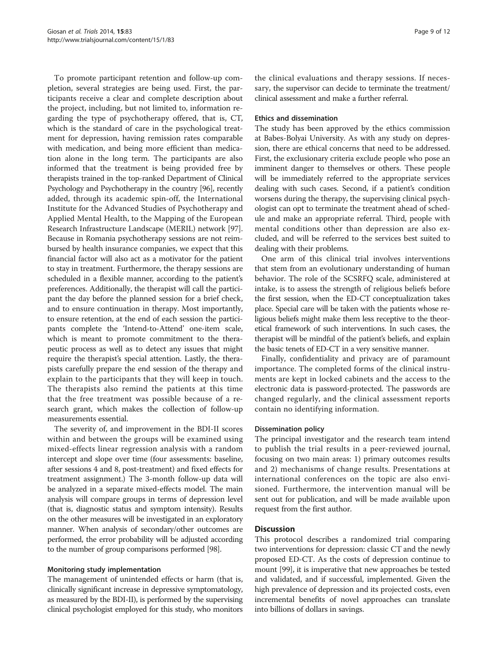To promote participant retention and follow-up completion, several strategies are being used. First, the participants receive a clear and complete description about the project, including, but not limited to, information regarding the type of psychotherapy offered, that is, CT, which is the standard of care in the psychological treatment for depression, having remission rates comparable with medication, and being more efficient than medication alone in the long term. The participants are also informed that the treatment is being provided free by therapists trained in the top-ranked Department of Clinical Psychology and Psychotherapy in the country [\[96](#page-11-0)], recently added, through its academic spin-off, the International Institute for the Advanced Studies of Psychotherapy and Applied Mental Health, to the Mapping of the European Research Infrastructure Landscape (MERIL) network [[97](#page-11-0)]. Because in Romania psychotherapy sessions are not reimbursed by health insurance companies, we expect that this financial factor will also act as a motivator for the patient to stay in treatment. Furthermore, the therapy sessions are scheduled in a flexible manner, according to the patient's preferences. Additionally, the therapist will call the participant the day before the planned session for a brief check, and to ensure continuation in therapy. Most importantly, to ensure retention, at the end of each session the participants complete the 'Intend-to-Attend' one-item scale, which is meant to promote commitment to the therapeutic process as well as to detect any issues that might require the therapist's special attention. Lastly, the therapists carefully prepare the end session of the therapy and explain to the participants that they will keep in touch. The therapists also remind the patients at this time that the free treatment was possible because of a research grant, which makes the collection of follow-up measurements essential.

The severity of, and improvement in the BDI-II scores within and between the groups will be examined using mixed-effects linear regression analysis with a random intercept and slope over time (four assessments: baseline, after sessions 4 and 8, post-treatment) and fixed effects for treatment assignment.) The 3-month follow-up data will be analyzed in a separate mixed-effects model. The main analysis will compare groups in terms of depression level (that is, diagnostic status and symptom intensity). Results on the other measures will be investigated in an exploratory manner. When analysis of secondary/other outcomes are performed, the error probability will be adjusted according to the number of group comparisons performed [[98](#page-11-0)].

#### Monitoring study implementation

The management of unintended effects or harm (that is, clinically significant increase in depressive symptomatology, as measured by the BDI-II), is performed by the supervising clinical psychologist employed for this study, who monitors

the clinical evaluations and therapy sessions. If necessary, the supervisor can decide to terminate the treatment/ clinical assessment and make a further referral.

## Ethics and dissemination

The study has been approved by the ethics commission at Babes-Bolyai University. As with any study on depression, there are ethical concerns that need to be addressed. First, the exclusionary criteria exclude people who pose an imminent danger to themselves or others. These people will be immediately referred to the appropriate services dealing with such cases. Second, if a patient's condition worsens during the therapy, the supervising clinical psychologist can opt to terminate the treatment ahead of schedule and make an appropriate referral. Third, people with mental conditions other than depression are also excluded, and will be referred to the services best suited to dealing with their problems.

One arm of this clinical trial involves interventions that stem from an evolutionary understanding of human behavior. The role of the SCSRFQ scale, administered at intake, is to assess the strength of religious beliefs before the first session, when the ED-CT conceptualization takes place. Special care will be taken with the patients whose religious beliefs might make them less receptive to the theoretical framework of such interventions. In such cases, the therapist will be mindful of the patient's beliefs, and explain the basic tenets of ED-CT in a very sensitive manner.

Finally, confidentiality and privacy are of paramount importance. The completed forms of the clinical instruments are kept in locked cabinets and the access to the electronic data is password-protected. The passwords are changed regularly, and the clinical assessment reports contain no identifying information.

## Dissemination policy

The principal investigator and the research team intend to publish the trial results in a peer-reviewed journal, focusing on two main areas: 1) primary outcomes results and 2) mechanisms of change results. Presentations at international conferences on the topic are also envisioned. Furthermore, the intervention manual will be sent out for publication, and will be made available upon request from the first author.

#### **Discussion**

This protocol describes a randomized trial comparing two interventions for depression: classic CT and the newly proposed ED-CT. As the costs of depression continue to mount [\[99](#page-11-0)], it is imperative that new approaches be tested and validated, and if successful, implemented. Given the high prevalence of depression and its projected costs, even incremental benefits of novel approaches can translate into billions of dollars in savings.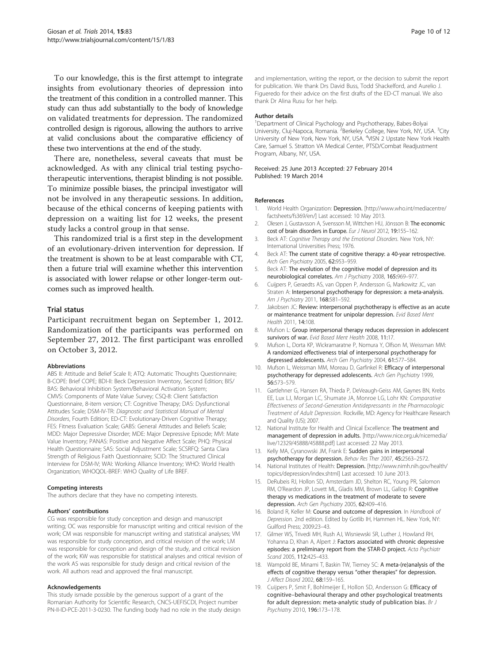<span id="page-9-0"></span>To our knowledge, this is the first attempt to integrate insights from evolutionary theories of depression into the treatment of this condition in a controlled manner. This study can thus add substantially to the body of knowledge on validated treatments for depression. The randomized controlled design is rigorous, allowing the authors to arrive at valid conclusions about the comparative efficiency of these two interventions at the end of the study.

There are, nonetheless, several caveats that must be acknowledged. As with any clinical trial testing psychotherapeutic interventions, therapist blinding is not possible. To minimize possible biases, the principal investigator will not be involved in any therapeutic sessions. In addition, because of the ethical concerns of keeping patients with depression on a waiting list for 12 weeks, the present study lacks a control group in that sense.

This randomized trial is a first step in the development of an evolutionary-driven intervention for depression. If the treatment is shown to be at least comparable with CT, then a future trial will examine whether this intervention is associated with lower relapse or other longer-term outcomes such as improved health.

#### Trial status

Participant recruitment began on September 1, 2012. Randomization of the participants was performed on September 27, 2012. The first participant was enrolled on October 3, 2012.

#### Abbreviations

ABS II: Attitude and Belief Scale II; ATQ: Automatic Thoughts Questionnaire; B-COPE: Brief COPE; BDI-II: Beck Depression Inventory, Second Edition; BIS/ BAS: Behavioral Inhibition System/Behavioral Activation System; CMVS: Components of Mate Value Survey; CSQ-8: Client Satisfaction Questionnaire, 8-item version; CT: Cognitive Therapy; DAS: Dysfunctional Attitudes Scale; DSM-IV-TR: Diagnostic and Statistical Manual of Mental Disorders, Fourth Edition; ED-CT: Evolutionary-Driven Cognitive Therapy; FES: Fitness Evaluation Scale; GABS: General Attitudes and Beliefs Scale; MDD: Major Depressive Disorder; MDE: Major Depressive Episode; MVI: Mate Value Inventory; PANAS: Positive and Negative Affect Scale; PHQ: Physical Health Questionnaire; SAS: Social Adjustment Scale; SCSRFQ: Santa Clara Strength of Religious Faith Questionnaire; SCID: The Structured Clinical Interview for DSM-IV; WAI: Working Alliance Inventory; WHO: World Health Organization; WHOQOL-BREF: WHO Quality of Life BREF.

#### Competing interests

The authors declare that they have no competing interests.

#### Authors' contributions

CG was responsible for study conception and design and manuscript writing; OC was responsible for manuscript writing and critical revision of the work; CM was responsible for manuscript writing and statistical analyses; VM was responsible for study conception, and critical revision of the work; LM was responsible for conception and design of the study, and critical revision of the work; KW was responsible for statistical analyses and critical revision of the work AS was responsible for study design and critical revision of the work. All authors read and approved the final manuscript.

#### Acknowledgements

This study ismade possible by the generous support of a grant of the Romanian Authority for Scientific Research, CNCS-UEFISCDI, Project number PN-II-ID-PCE-2011-3-0230. The funding body had no role in the study design

and implementation, writing the report, or the decision to submit the report for publication. We thank Drs David Buss, Todd Shackelford, and Aurelio J. Figueredo for their advice on the first drafts of the ED-CT manual. We also thank Dr Alina Rusu for her help.

#### Author details

<sup>1</sup>Department of Clinical Psychology and Psychotherapy, Babes-Bolyai University, Cluj-Napoca, Romania. <sup>2</sup>Berkeley College, New York, NY, USA. <sup>3</sup>City University of New York, New York, NY, USA. <sup>4</sup>VISN 2 Upstate New York Health Care, Samuel S. Stratton VA Medical Center, PTSD/Combat Readjustment Program, Albany, NY, USA.

Received: 25 June 2013 Accepted: 27 February 2014 Published: 19 March 2014

#### References

- 1. World Health Organization: Depression. [[http://www.who.int/mediacentre/](http://www.who.int/mediacentre/factsheets/fs369/en/) [factsheets/fs369/en/](http://www.who.int/mediacentre/factsheets/fs369/en/)] Last accessed: 10 May 2013.
- 2. Olesen J, Gustavsson A, Svensson M, Wittchen HU, Jönsson B: The economic cost of brain disorders in Europe. Eur J Neurol 2012, 19:155–162.
- 3. Beck AT: Cognitive Therapy and the Emotional Disorders. New York, NY: International Universities Press; 1976.
- 4. Beck AT: The current state of cognitive therapy: a 40-year retrospective. Arch Gen Psychiatry 2005, 62:953–959.
- 5. Beck AT: The evolution of the cognitive model of depression and its neurobiological correlates. Am J Psychiatry 2008, 165:969–977.
- 6. Cuijpers P, Geraedts AS, van Oppen P, Andersson G, Markowitz JC, van Straten A: Interpersonal psychotherapy for depression: a meta-analysis. Am J Psychiatry 2011, 168:581-592.
- 7. Jakobsen JC: Review: interpersonal psychotherapy is effective as an acute or maintenance treatment for unipolar depression. Evid Based Ment Health 2011, 14:108.
- 8. Mufson L: Group interpersonal therapy reduces depression in adolescent survivors of war. Evid Based Ment Health 2008, 11:17.
- 9. Mufson L, Dorta KP, Wickramaratne P, Nomura Y, Olfson M, Weissman MM: A randomized effectiveness trial of interpersonal psychotherapy for depressed adolescents. Arch Gen Psychiatry 2004, 61:577–584.
- 10. Mufson L, Weissman MM, Moreau D, Garfinkel R: Efficacy of interpersonal psychotherapy for depressed adolescents. Arch Gen Psychiatry 1999, 56:573–579.
- 11. Gartlehner G, Hansen RA, Thieda P, DeVeaugh-Geiss AM, Gaynes BN, Krebs EE, Lux LJ, Morgan LC, Shumate JA, Monroe LG, Lohr KN: Comparative Effectiveness of Second-Generation Antidepressants in the Pharmacologic Treatment of Adult Depression. Rockville, MD: Agency for Healthcare Research and Quality (US); 2007.
- 12. National Institute for Health and Clinical Excellence: The treatment and management of depression in adults. [[http://www.nice.org.uk/nicemedia/](http://www.nice.org.uk/nicemedia/live/12329/45888/45888.pdf) [live/12329/45888/45888.pdf\]](http://www.nice.org.uk/nicemedia/live/12329/45888/45888.pdf) Last accessed: 22 May 2013.
- 13. Kelly MA, Cyranowski JM, Frank E: Sudden gains in interpersonal psychotherapy for depression. Behav Res Ther 2007, 45:2563–2572.
- National Institutes of Health: Depression. [\[http://www.nimh.nih.gov/health/](http://www.nimh.nih.gov/health/topics/depression/index.shtml) [topics/depression/index.shtml](http://www.nimh.nih.gov/health/topics/depression/index.shtml)] Last accessed: 10 June 2013.
- 15. DeRubeis RJ, Hollon SD, Amsterdam JD, Shelton RC, Young PR, Salomon RM, O'Reardon JP, Lovett ML, Gladis MM, Brown LL, Gallop R: Cognitive therapy vs medications in the treatment of moderate to severe depression. Arch Gen Psychiatry 2005, 62:409-416.
- 16. Boland R, Keller M: Course and outcome of depression. In Handbook of Depression. 2nd edition. Edited by Gotlib IH, Hammen HL. New York, NY: Guilford Press; 2009:23–43.
- 17. Gilmer WS, Trivedi MH, Rush AJ, Wisniewski SR, Luther J, Howland RH, Yohanna D, Khan A, Alpert J: Factors associated with chronic depressive episodes: a preliminary report from the STAR-D project. Acta Psychiatr Scand 2005, 112:425–433.
- 18. Wampold BE, Minami T, Baskin TW, Tierney SC: A meta-(re)analysis of the effects of cognitive therapy versus "other therapies" for depression. J Affect Disord 2002, 68:159–165.
- 19. Cuijpers P, Smit F, Bohlmeijer E, Hollon SD, Andersson G: Efficacy of cognitive–behavioural therapy and other psychological treatments for adult depression: meta-analytic study of publication bias. Br J Psychiatry 2010, 196:173–178.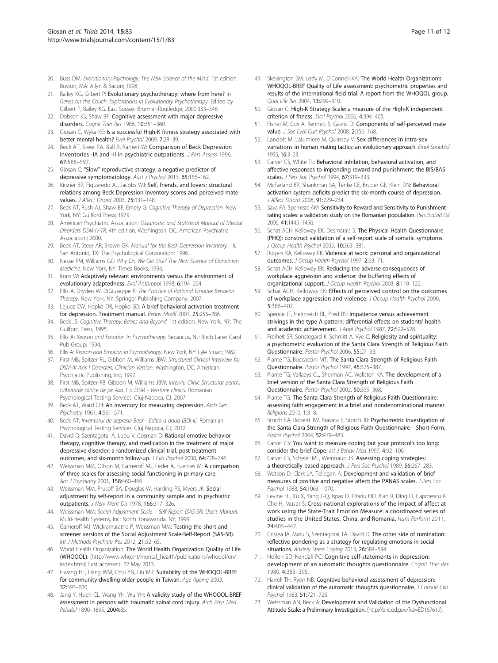- <span id="page-10-0"></span>20. Buss DM: Evolutionary Psychology: The New Science of the Mind. 1st edition. Boston, MA: Allyn & Bacon; 1998.
- 21. Bailey KG, Gilbert P: Evolutionary psychotherapy: where from here? In Genes on the Couch. Explorations in Evolutionary Psychotherapy. Edited by Gilbert P, Bailey KG. East Sussex: Brunner-Routledge; 2000:333–348.
- 22. Dobson KS, Shaw BF: Cognitive assessment with major depressive disorders. Cognit Ther Res 1986, 10:351-360.
- 23. Giosan C, Wyka KE: Is a successful High-K fitness strategy associated with better mental health? Evol Psychol 2009, 7:28–39.
- 24. Beck AT, Steer RA, Ball R, Ranieri W: Comparison of Beck Depression Inventories -IA and -II in psychiatric outpatients. J Pers Assess 1996, 67:588–597.
- 25. Giosan C: "Slow" reproductive strategy: a negative predictor of depressive symptomatology. Aust J Psychol 2013, 65:156-162.
- 26. Kirsner BR, Figueredo AJ, Jacobs WJ: Self, friends, and lovers: structural relations among Beck Depression Inventory scores and perceived mate values. *J Affect Disord* 2003, **75:**131-148.
- 27. Beck AT, Rush AJ, Shaw BF, Emery G: Cognitive Therapy of Depression. New York, NY: Guilford Press; 1979.
- 28. American Psychiatric Association: Diagnostic and Statistical Manual of Mental Disorders DSM-IV-TR. 4th edition. Washington, DC: American Psychiatric Association; 2000.
- 29. Beck AT, Steer AR, Brown GK: Manual for the Beck Depression Inventory-II. San Antonio, TX: The Psychological Corporation; 1996.
- 30. Nesse RM, Williams GC: Why Do We Get Sick? The New Science of Darwinian Medicine. New York, NY: Times Books; 1994.
- 31. Irons W: Adaptively relevant environments versus the environment of evolutionary adaptedness. Evol Anthropol 1998, 6:194–204.
- 32. Ellis A, Dryden W, DiGiuseppe R: The Practice of Rational Emotive Behavior Therapy. New York, NY: Springer Publishing Company; 2007.
- 33. Lejuez CW, Hopko DR, Hopko SD: A brief behavioral activation treatment for depression. Treatment manual. Behav Modif 2001, 25:255–286.
- 34. Beck JS: Cognitive Therapy: Basics and Beyond. 1st edition. New York, NY: The Guilford Press; 1995.
- 35. Ellis A: Reason and Emotion in Psychotherapy. Secaucus, NJ: Birch Lane: Carol Pub Group; 1994.
- 36. Ellis A: Reason and Emotion in Psychotherapy. New York, NY: Lyle Stuart; 1962.
- 37. First MB, Spitzer RL, Gibbon M, Williams JBW: Structured Clinical Interview for DSM-IV Axis I Disorders, Clinician Version. Washington, DC: American Psychiatric Publishing, Inc; 1997.
- 38. First MB, Spitzer RB, Gibbon M, Williams JBW: Interviu Clinic Structurat pentru tulburarile clinice de pe Axa 1 a DSM - Versiune clinica. Romanian Psychological Testing Services: Cluj-Napoca, CJ; 2007.
- 39. Beck AT, Ward CH: An inventory for measuring depression. Arch Gen Psychiatry 1961, 4:561–571.
- 40. Beck AT: Inventarul de depresie Beck Editia a doua (BDI-II). Romanian Psychological Testing Services: Cluj Napoca, CJ; 2012.
- 41. David D, Szentagotai A, Lupu V, Cosman D: Rational emotive behavior therapy, cognitive therapy, and medication in the treatment of major depressive disorder: a randomized clinical trial, post treatment outcomes, and six-month follow-up. J Clin Psychol 2008, 64:728-746.
- 42. Weissman MM, Olfson M, Gameroff MJ, Feder A, Fuentes M: A comparison of three scales for assessing social functioning in primary care. Am J Psychiatry 2001, 158:460-466.
- 43. Weissman MM, Prusoff BA, Douglas W, Harding PS, Myers JK: Social adjustment by self-report in a community sample and in psychiatric outpatients. J Nerv Ment Dis 1978, 166:317–326.
- 44. Weissman MM: Social Adjustment Scale Self-Report (SAS-SR) User's Manual. Multi-Health Systems, Inc: North Tonawanda, NY; 1999.
- 45. Gameroff MJ, Wickramaratne P, Weissman MM: Testing the short and screener versions of the Social Adjustment Scale-Self-Report (SAS-SR). Int J Methods Psychiatr Res 2012, 21:52-65.
- 46. World Health Organization: The World Health Organization Quality of Life (WHOQOL). [[http://www.who.int/mental\\_health/publications/whoqol/en/](http://www.who.int/mental_health/publications/whoqol/en/index.html) [index.html\]](http://www.who.int/mental_health/publications/whoqol/en/index.html) Last accessed: 22 May 2013.
- 47. Hwang HF, Liang WM, Chiu YN, Lin MR: Suitability of the WHOQOL-BREF for community-dwelling older people in Taiwan. Age Ageing 2003, 32:593–600.
- 48. Jang Y, Hsieh CL, Wang YH, Wu YH: A validity study of the WHOQOL-BREF assessment in persons with traumatic spinal cord injury. Arch Phys Med Rehabil 1890–1895, 2004:85.
- 49. Skevington SM, Lotfy M, O'Connell KA: The World Health Organization's WHOQOL-BREF Quality of Life assessment: psychometric properties and results of the international field trial. A report from the WHOQOL group. Qual Life Res 2004, 13:299–310.
- 50. Giosan C: High-K Strategy Scale: a measure of the High-K independent criterion of fitness. Evol Psychol 2006, 4:394–405.
- 51. Fisher M, Cox A, Bennett S, Gavric D: Components of self-perceived mate value. J Soc Evol Cult Psychol 2008, 2:156-168.
- 52. Landolt M, Lalumiere M, Quinsey V: Sex differences in intra-sex variations in human mating tactics: an evolutionary approach. Ethol Sociobiol 1995, 16:3–23.
- 53. Carver CS, White TL: Behavioral inhibition, behavioral activation, and affective responses to impending reward and punishment: the BIS/BAS scales. J Pers Soc Psychol 1994, 67:319-333.
- 54. McFarland BR, Shankman SA, Tenke CE, Bruder GE, Klein DN: Behavioral activation system deficits predict the six-month course of depression. J Affect Disord 2006, 91:229–234.
- 55. Sava FA, Sperneac AM: Sensitivity to Reward and Sensitivity to Punishment rating scales: a validation study on the Romanian population. Pers Individ Dif 2006, 41:1445–1456.
- 56. Schat ACH, Kelloway EK, Desmarais S: The Physical Health Questionnaire (PHQ): construct validation of a self-report scale of somatic symptoms. J Occup Health Psychol 2005, 10:363-381.
- 57. Rogers KA, Kelloway EK: Violence at work: personal and organizational outcomes. J Occup Health Psychol 1997, 2:63–71.
- 58. Schat ACH, Kelloway EK: Reducing the adverse consequences of workplace aggression and violence: the buffering effects of organizational support. J Occup Health Psychol 2003, 8:110-122
- Schat ACH, Kelloway EK: Effects of perceived control on the outcomes of workplace aggression and violence. J Occup Health Psychol 2000, 5:386–402.
- 60. Spence JT, Helmreich RL, Pred RS: Impatience versus achievement strivings in the type A pattern: differential effects on students' health and academic achievement. J Appl Psychol 1987, 72:522–528.
- 61. Freiheit SR, Sonstegard K, Schmitt A, Vye C: Religiosity and spirituality: a psychometric evaluation of the Santa Clara Strength of Religious Faith Questionnaire. Pastor Psychol 2006, 55:27–33.
- 62. Plante TG, Boccaccini MT: The Santa Clara Strength of Religious Faith Questionnaire. Pastor Psychol 1997, 45:375–387.
- 63. Plante TG, Vallaeys CL, Sherman AC, Wallston KA: The development of a brief version of the Santa Clara Strength of Religious Faith Questionnaire. Pastor Psychol 2002, 50:359–368.
- 64. Plante TG: The Santa Clara Strength of Religious Faith Questionnaire: assessing faith engagement in a brief and nondenominational manner. Religions 2010, 1:3–8.
- 65. Storch EA, Roberti JW, Bravata E, Storch JB: Psychometric investigation of the Santa Clara Strength of Religious Faith Questionnaire—Short-Form. Pastor Psychol 2004, 52:479–483.
- 66. Carver CS: You want to measure coping but your protocol's too long: consider the brief Cope. Int J Behav Med 1997, 4:92-100.
- 67. Carver CS, Scheier MF, Weintraub JK: Assessing coping strategies: a theoretically based approach. J Pers Soc Psychol 1989, 56:267-283.
- 68. Watson D, Clark LA, Tellegen A: Development and validation of brief measures of positive and negative affect: the PANAS scales. J Pers Soc Psychol 1988, 54:1063–1070.
- 69. Levine EL, Xu X, Yang L-Q, Ispas D, Pitariu HD, Bian R, Ding D, Capotescu R, Che H, Musat S: Cross-national explorations of the impact of affect at work using the State-Trait Emotion Measure: a coordinated series of studies in the United States, China, and Romania. Hum Perform 2011, 24:405–442.
- 70. Cristea IA, Matu S, Szentagotai TA, David D: The other side of rumination: reflective pondering as a strategy for regulating emotions in social situations. Anxiety Stress Coping 2013, 26:584-594.
- 71. Hollon SD, Kendall PC: Cognitive self-statements in depression: development of an automatic thoughts questionnaire. Cognit Ther Res 1980, 4:383–395.
- 72. Harrell TH, Ryon NB: Cognitive-behavioral assessment of depression: clinical validation of the automatic thoughts questionnaire. J Consult Clin Psychol 1983, 51:721–725.
- 73. Weissman AN, Beck A: Development and Validation of the Dysfunctional Attitude Scale: a Preliminary Investigation. [\[http://eric.ed.gov/?id=ED167619\]](http://eric.ed.gov/?id=ED167619).